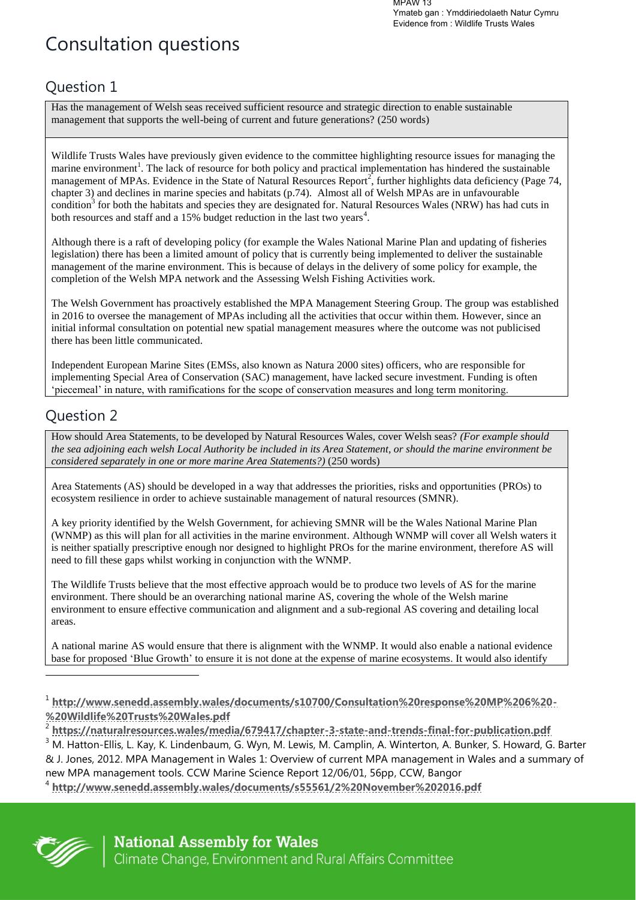MPAW 13 Ymateb gan : Ymddiriedolaeth Natur Cymru Evidence from : Wildlife Trusts Wales

# Consultation questions

### Question 1

Has the management of Welsh seas received sufficient resource and strategic direction to enable sustainable management that supports the well-being of current and future generations? (250 words)

Wildlife Trusts Wales have previously given evidence to the committee highlighting resource issues for managing the marine environment<sup>1</sup>. The lack of resource for both policy and practical implementation has hindered the sustainable management of MPAs. Evidence in the State of Natural Resources Report<sup>2</sup>, further highlights data deficiency (Page 74, chapter 3) and declines in marine species and habitats (p.74). Almost all of Welsh MPAs are in unfavourable condition<sup>3</sup> for both the habitats and species they are designated for. Natural Resources Wales (NRW) has had cuts in both resources and staff and a 15% budget reduction in the last two years<sup>4</sup>.

Although there is a raft of developing policy (for example the Wales National Marine Plan and updating of fisheries legislation) there has been a limited amount of policy that is currently being implemented to deliver the sustainable management of the marine environment. This is because of delays in the delivery of some policy for example, the completion of the Welsh MPA network and the Assessing Welsh Fishing Activities work.

The Welsh Government has proactively established the MPA Management Steering Group. The group was established in 2016 to oversee the management of MPAs including all the activities that occur within them. However, since an initial informal consultation on potential new spatial management measures where the outcome was not publicised there has been little communicated.

Independent European Marine Sites (EMSs, also known as Natura 2000 sites) officers, who are responsible for implementing Special Area of Conservation (SAC) management, have lacked secure investment. Funding is often 'piecemeal' in nature, with ramifications for the scope of conservation measures and long term monitoring.

### Question 2

How should Area Statements, to be developed by Natural Resources Wales, cover Welsh seas? *(For example should the sea adjoining each welsh Local Authority be included in its Area Statement, or should the marine environment be considered separately in one or more marine Area Statements?)* (250 words)

Area Statements (AS) should be developed in a way that addresses the priorities, risks and opportunities (PROs) to ecosystem resilience in order to achieve sustainable management of natural resources (SMNR).

A key priority identified by the Welsh Government, for achieving SMNR will be the Wales National Marine Plan (WNMP) as this will plan for all activities in the marine environment. Although WNMP will cover all Welsh waters it is neither spatially prescriptive enough nor designed to highlight PROs for the marine environment, therefore AS will need to fill these gaps whilst working in conjunction with the WNMP.

The Wildlife Trusts believe that the most effective approach would be to produce two levels of AS for the marine environment. There should be an overarching national marine AS, covering the whole of the Welsh marine environment to ensure effective communication and alignment and a sub-regional AS covering and detailing local areas.

A national marine AS would ensure that there is alignment with the WNMP. It would also enable a national evidence base for proposed 'Blue Growth' to ensure it is not done at the expense of marine ecosystems. It would also identify

<sup>4</sup> **<http://www.senedd.assembly.wales/documents/s55561/2%20November%202016.pdf>**



<sup>1</sup> **[http://www.senedd.assembly.wales/documents/s10700/Consultation%20response%20MP%206%20-](http://www.senedd.assembly.wales/documents/s10700/Consultation%20response%20MP%206%20-%20Wildlife%20Trusts%20Wales.pdf) [%20Wildlife%20Trusts%20Wales.pdf](http://www.senedd.assembly.wales/documents/s10700/Consultation%20response%20MP%206%20-%20Wildlife%20Trusts%20Wales.pdf)**

<sup>2</sup> **<https://naturalresources.wales/media/679417/chapter-3-state-and-trends-final-for-publication.pdf>**

 $^3$  M. Hatton-Ellis, L. Kay, K. Lindenbaum, G. Wyn, M. Lewis, M. Camplin, A. Winterton, A. Bunker, S. Howard, G. Barter & J. Jones, 2012. MPA Management in Wales 1: Overview of current MPA management in Wales and a summary of new MPA management tools. CCW Marine Science Report 12/06/01, 56pp, CCW, Bangor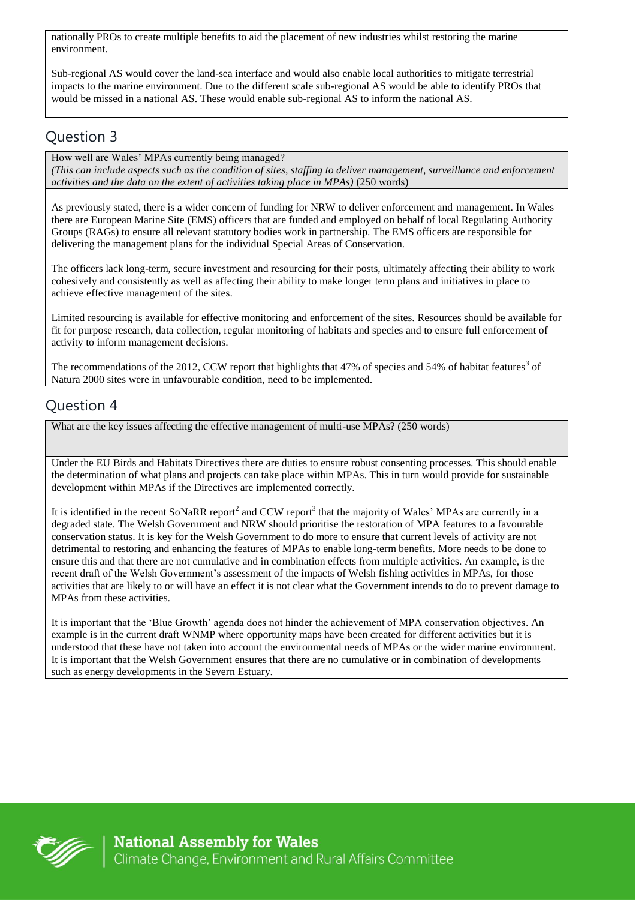nationally PROs to create multiple benefits to aid the placement of new industries whilst restoring the marine environment.

Sub-regional AS would cover the land-sea interface and would also enable local authorities to mitigate terrestrial impacts to the marine environment. Due to the different scale sub-regional AS would be able to identify PROs that would be missed in a national AS. These would enable sub-regional AS to inform the national AS.

### Question 3

How well are Wales' MPAs currently being managed? *(This can include aspects such as the condition of sites, staffing to deliver management, surveillance and enforcement activities and the data on the extent of activities taking place in MPAs)* (250 words)

As previously stated, there is a wider concern of funding for NRW to deliver enforcement and management. In Wales there are European Marine Site (EMS) officers that are funded and employed on behalf of local Regulating Authority Groups (RAGs) to ensure all relevant statutory bodies work in partnership. The EMS officers are responsible for delivering the management plans for the individual Special Areas of Conservation.

The officers lack long-term, secure investment and resourcing for their posts, ultimately affecting their ability to work cohesively and consistently as well as affecting their ability to make longer term plans and initiatives in place to achieve effective management of the sites.

Limited resourcing is available for effective monitoring and enforcement of the sites. Resources should be available for fit for purpose research, data collection, regular monitoring of habitats and species and to ensure full enforcement of activity to inform management decisions.

The recommendations of the 2012, CCW report that highlights that 47% of species and 54% of habitat features<sup>3</sup> of Natura 2000 sites were in unfavourable condition, need to be implemented.

### Question 4

What are the key issues affecting the effective management of multi-use MPAs? (250 words)

Under the EU Birds and Habitats Directives there are duties to ensure robust consenting processes. This should enable the determination of what plans and projects can take place within MPAs. This in turn would provide for sustainable development within MPAs if the Directives are implemented correctly.

It is identified in the recent SoNaRR report<sup>2</sup> and CCW report<sup>3</sup> that the majority of Wales' MPAs are currently in a degraded state. The Welsh Government and NRW should prioritise the restoration of MPA features to a favourable conservation status. It is key for the Welsh Government to do more to ensure that current levels of activity are not detrimental to restoring and enhancing the features of MPAs to enable long-term benefits. More needs to be done to ensure this and that there are not cumulative and in combination effects from multiple activities. An example, is the recent draft of the Welsh Government's assessment of the impacts of Welsh fishing activities in MPAs, for those activities that are likely to or will have an effect it is not clear what the Government intends to do to prevent damage to MPAs from these activities.

It is important that the 'Blue Growth' agenda does not hinder the achievement of MPA conservation objectives. An example is in the current draft WNMP where opportunity maps have been created for different activities but it is understood that these have not taken into account the environmental needs of MPAs or the wider marine environment. It is important that the Welsh Government ensures that there are no cumulative or in combination of developments such as energy developments in the Severn Estuary.

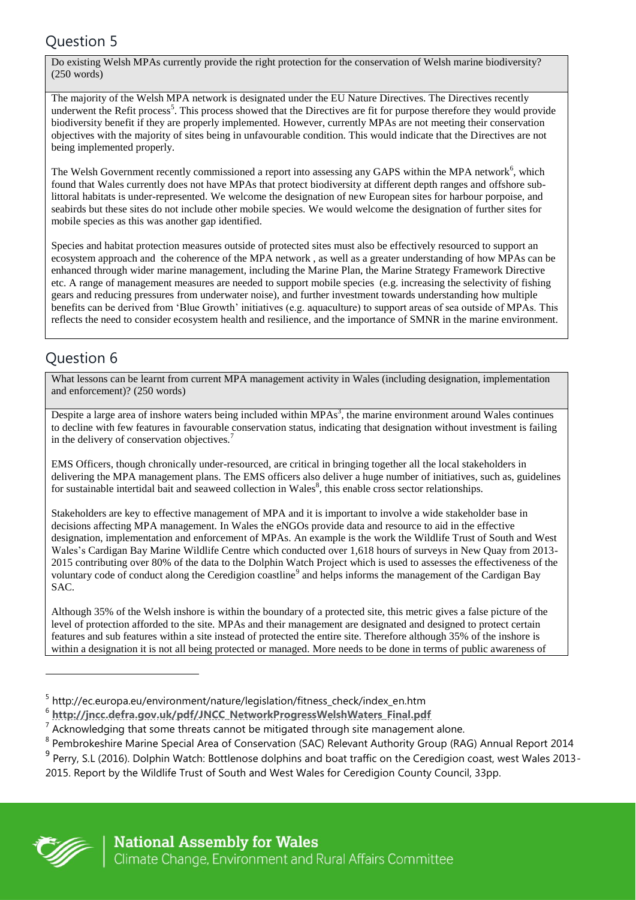## Question 5

Do existing Welsh MPAs currently provide the right protection for the conservation of Welsh marine biodiversity? (250 words)

The majority of the Welsh MPA network is designated under the EU Nature Directives. The Directives recently underwent the Refit process<sup>5</sup>. This process showed that the Directives are fit for purpose therefore they would provide biodiversity benefit if they are properly implemented. However, currently MPAs are not meeting their conservation objectives with the majority of sites being in unfavourable condition. This would indicate that the Directives are not being implemented properly.

The Welsh Government recently commissioned a report into assessing any GAPS within the MPA network<sup>6</sup>, which found that Wales currently does not have MPAs that protect biodiversity at different depth ranges and offshore sublittoral habitats is under-represented. We welcome the designation of new European sites for harbour porpoise, and seabirds but these sites do not include other mobile species. We would welcome the designation of further sites for mobile species as this was another gap identified.

Species and habitat protection measures outside of protected sites must also be effectively resourced to support an ecosystem approach and the coherence of the MPA network , as well as a greater understanding of how MPAs can be enhanced through wider marine management, including the Marine Plan, the Marine Strategy Framework Directive etc. A range of management measures are needed to support mobile species (e.g. increasing the selectivity of fishing gears and reducing pressures from underwater noise), and further investment towards understanding how multiple benefits can be derived from 'Blue Growth' initiatives (e.g. aquaculture) to support areas of sea outside of MPAs. This reflects the need to consider ecosystem health and resilience, and the importance of SMNR in the marine environment.

### Question 6

What lessons can be learnt from current MPA management activity in Wales (including designation, implementation and enforcement)? (250 words)

Despite a large area of inshore waters being included within  $MPAs^3$ , the marine environment around Wales continues to decline with few features in favourable conservation status, indicating that designation without investment is failing in the delivery of conservation objectives.<sup>7</sup>

EMS Officers, though chronically under-resourced, are critical in bringing together all the local stakeholders in delivering the MPA management plans. The EMS officers also deliver a huge number of initiatives, such as, guidelines for sustainable intertidal bait and seaweed collection in Wales<sup>8</sup>, this enable cross sector relationships.

Stakeholders are key to effective management of MPA and it is important to involve a wide stakeholder base in decisions affecting MPA management. In Wales the eNGOs provide data and resource to aid in the effective designation, implementation and enforcement of MPAs. An example is the work the Wildlife Trust of South and West Wales's Cardigan Bay Marine Wildlife Centre which conducted over 1,618 hours of surveys in New Quay from 2013- 2015 contributing over 80% of the data to the Dolphin Watch Project which is used to assesses the effectiveness of the voluntary code of conduct along the Ceredigion coastline<sup>9</sup> and helps informs the management of the Cardigan Bay SAC.

Although 35% of the Welsh inshore is within the boundary of a protected site, this metric gives a false picture of the level of protection afforded to the site. MPAs and their management are designated and designed to protect certain features and sub features within a site instead of protected the entire site. Therefore although 35% of the inshore is within a designation it is not all being protected or managed. More needs to be done in terms of public awareness of



 $\overline{a}$ 

<sup>&</sup>lt;sup>5</sup> http://ec.europa.eu/environment/nature/legislation/fitness\_check/index\_en.htm

<sup>6</sup> **[http://jncc.defra.gov.uk/pdf/JNCC\\_NetworkProgressWelshWaters\\_Final.pdf](http://jncc.defra.gov.uk/pdf/JNCC_NetworkProgressWelshWaters_Final.pdf)**

 $<sup>7</sup>$  Acknowledging that some threats cannot be mitigated through site management alone.</sup>

<sup>&</sup>lt;sup>8</sup> Pembrokeshire Marine Special Area of Conservation (SAC) Relevant Authority Group (RAG) Annual Report 2014

<sup>&</sup>lt;sup>9</sup> Perry, S.L (2016). Dolphin Watch: Bottlenose dolphins and boat traffic on the Ceredigion coast, west Wales 2013-2015. Report by the Wildlife Trust of South and West Wales for Ceredigion County Council, 33pp.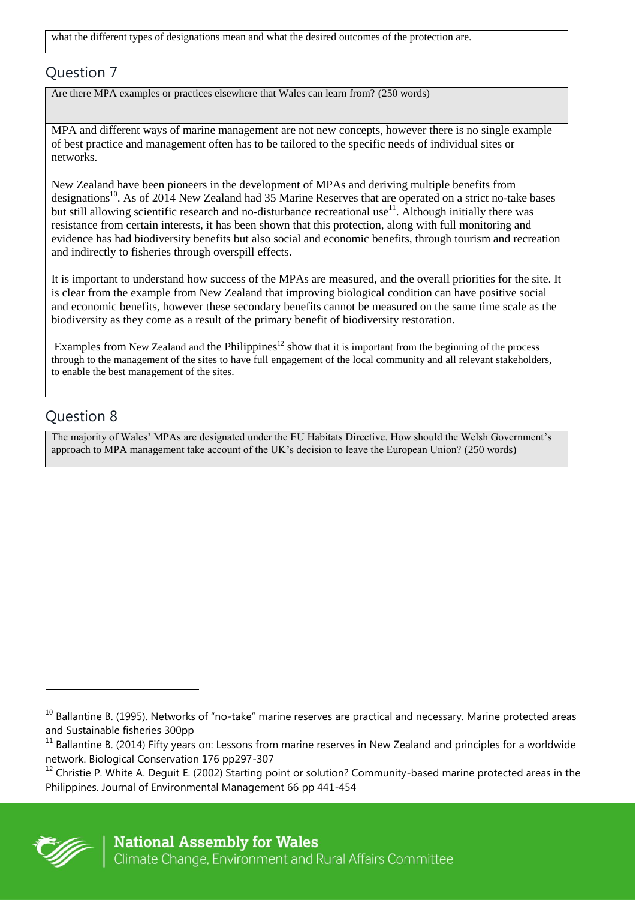what the different types of designations mean and what the desired outcomes of the protection are.

#### Question 7

Are there MPA examples or practices elsewhere that Wales can learn from? (250 words)

MPA and different ways of marine management are not new concepts, however there is no single example of best practice and management often has to be tailored to the specific needs of individual sites or networks.

New Zealand have been pioneers in the development of MPAs and deriving multiple benefits from designations<sup>10</sup>. As of 2014 New Zealand had 35 Marine Reserves that are operated on a strict no-take bases but still allowing scientific research and no-disturbance recreational use<sup>11</sup>. Although initially there was resistance from certain interests, it has been shown that this protection, along with full monitoring and evidence has had biodiversity benefits but also social and economic benefits, through tourism and recreation and indirectly to fisheries through overspill effects.

It is important to understand how success of the MPAs are measured, and the overall priorities for the site. It is clear from the example from New Zealand that improving biological condition can have positive social and economic benefits, however these secondary benefits cannot be measured on the same time scale as the biodiversity as they come as a result of the primary benefit of biodiversity restoration.

Examples from New Zealand and the Philippines<sup>12</sup> show that it is important from the beginning of the process through to the management of the sites to have full engagement of the local community and all relevant stakeholders, to enable the best management of the sites.

### Question 8

The majority of Wales' MPAs are designated under the EU Habitats Directive. How should the Welsh Government's approach to MPA management take account of the UK's decision to leave the European Union? (250 words)

 $12$  Christie P. White A. Deguit E. (2002) Starting point or solution? Community-based marine protected areas in the Philippines. Journal of Environmental Management 66 pp 441-454



 $\overline{a}$ 

 $10$  Ballantine B. (1995). Networks of "no-take" marine reserves are practical and necessary. Marine protected areas and Sustainable fisheries 300pp

 $11$  Ballantine B. (2014) Fifty years on: Lessons from marine reserves in New Zealand and principles for a worldwide network. Biological Conservation 176 pp297-307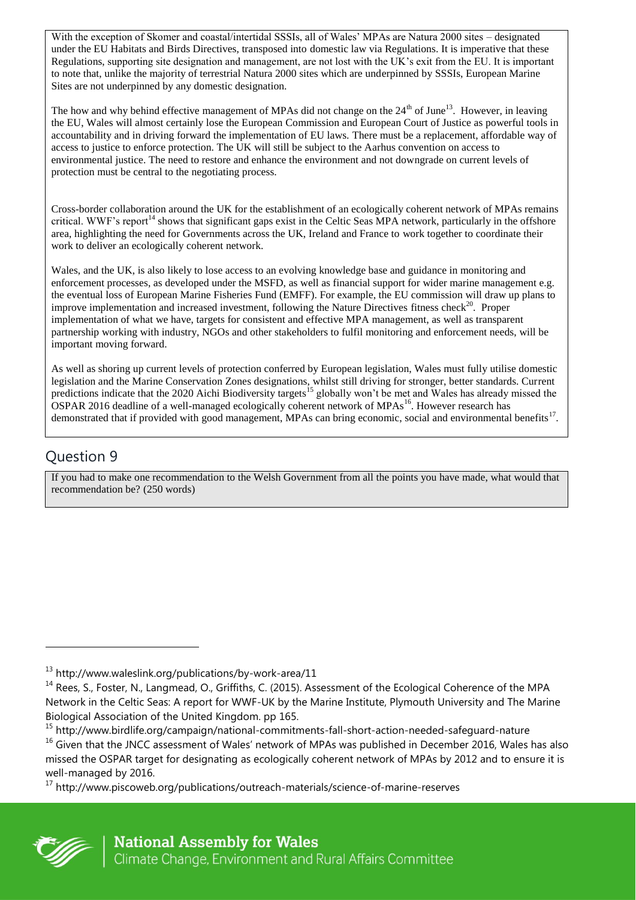With the exception of Skomer and coastal/intertidal SSSIs, all of Wales' MPAs are Natura 2000 sites – designated under the EU Habitats and Birds Directives, transposed into domestic law via Regulations. It is imperative that these Regulations, supporting site designation and management, are not lost with the UK's exit from the EU. It is important to note that, unlike the majority of terrestrial Natura 2000 sites which are underpinned by SSSIs, European Marine Sites are not underpinned by any domestic designation.

The how and why behind effective management of MPAs did not change on the 24<sup>th</sup> of June<sup>13</sup>. However, in leaving the EU, Wales will almost certainly lose the European Commission and European Court of Justice as powerful tools in accountability and in driving forward the implementation of EU laws. There must be a replacement, affordable way of access to justice to enforce protection. The UK will still be subject to the Aarhus convention on access to environmental justice. The need to restore and enhance the environment and not downgrade on current levels of protection must be central to the negotiating process.

Cross-border collaboration around the UK for the establishment of an ecologically coherent network of MPAs remains critical. WWF's report<sup>14</sup> shows that significant gaps exist in the Celtic Seas MPA network, particularly in the offshore area, highlighting the need for Governments across the UK, Ireland and France to work together to coordinate their work to deliver an ecologically coherent network.

Wales, and the UK, is also likely to lose access to an evolving knowledge base and guidance in monitoring and enforcement processes, as developed under the MSFD, as well as financial support for wider marine management e.g. the eventual loss of European Marine Fisheries Fund (EMFF). For example, the EU commission will draw up plans to improve implementation and increased investment, following the Nature Directives fitness check<sup>20</sup>. Proper implementation of what we have, targets for consistent and effective MPA management, as well as transparent partnership working with industry, NGOs and other stakeholders to fulfil monitoring and enforcement needs, will be important moving forward.

As well as shoring up current levels of protection conferred by European legislation, Wales must fully utilise domestic legislation and the Marine Conservation Zones designations, whilst still driving for stronger, better standards. Current predictions indicate that the 2020 Aichi Biodiversity targets<sup>15</sup> globally won't be met and Wales has already missed the OSPAR 2016 deadline of a well-managed ecologically coherent network of MPAs<sup>16</sup>. However research has demonstrated that if provided with good management, MPAs can bring economic, social and environmental benefits<sup>17</sup>.

### Question 9

If you had to make one recommendation to the Welsh Government from all the points you have made, what would that recommendation be? (250 words)

<sup>17</sup> http://www.piscoweb.org/publications/outreach-materials/science-of-marine-reserves



 $13$  http://www.waleslink.org/publications/by-work-area/11

<sup>&</sup>lt;sup>14</sup> Rees, S., Foster, N., Langmead, O., Griffiths, C. (2015). Assessment of the Ecological Coherence of the MPA Network in the Celtic Seas: A report for WWF-UK by the Marine Institute, Plymouth University and The Marine Biological Association of the United Kingdom. pp 165.

<sup>15</sup> http://www.birdlife.org/campaign/national-commitments-fall-short-action-needed-safeguard-nature <sup>16</sup> Given that the JNCC assessment of Wales' network of MPAs was published in December 2016, Wales has also missed the OSPAR target for designating as ecologically coherent network of MPAs by 2012 and to ensure it is well-managed by 2016.